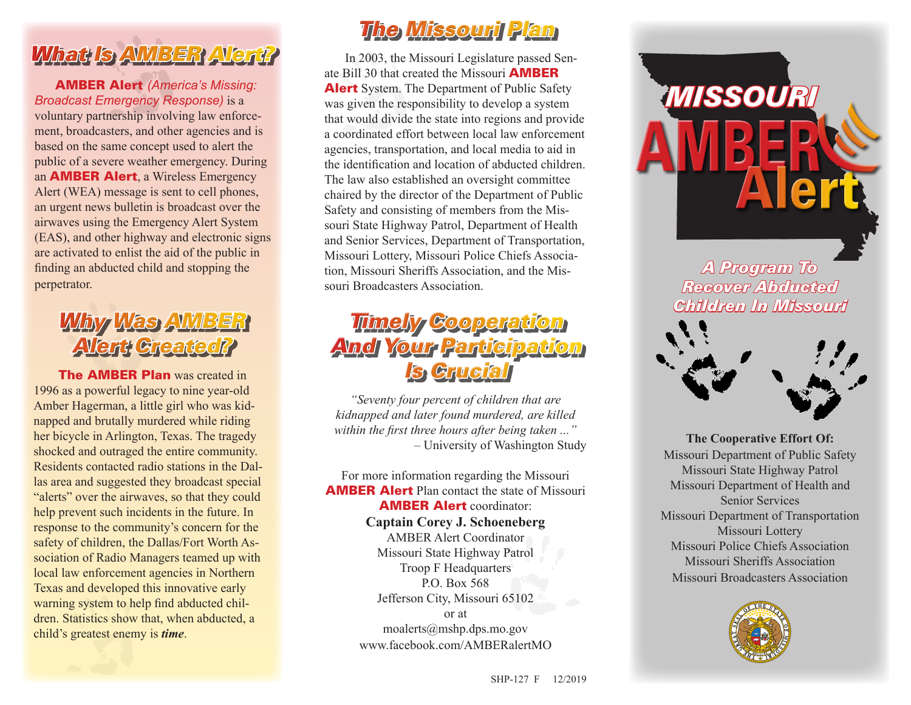## *What Is AMBER Alert?*

AMBER Alert *(America's Missing: Broadcast Emergency Response)* is a voluntary partnership involving law enforcement, broadcasters, and other agencies and is based on the same concept used to alert the public of a severe weather emergency. During an AMBER Alert, a Wireless Emergency Alert (WEA) message is sent to cell phones, an urgent news bulletin is broadcast over the airwaves using the Emergency Alert System (EAS), and other highway and electronic signs are activated to enlist the aid of the public in finding an abducted child and stopping the perpetrator.

### *Why Was AMBER Alert Created?*

**The AMBER Plan was created in** 1996 as a powerful legacy to nine year-old Amber Hagerman, a little girl who was kidnapped and brutally murdered while riding her bicycle in Arlington, Texas. The tragedy shocked and outraged the entire community. Residents contacted radio stations in the Dallas area and suggested they broadcast special "alerts" over the airwaves, so that they could help prevent such incidents in the future. In response to the community's concern for the safety of children, the Dallas/Fort Worth Association of Radio Managers teamed up with local law enforcement agencies in Northern Texas and developed this innovative early warning system to help find abducted children. Statistics show that, when abducted, a child's greatest enemy is *time*.

## *Alert?The Missouri Plan*

In 2003, the Missouri Legislature passed Senate Bill 30 that created the Missouri **AMBER Alert** System. The Department of Public Safety was given the responsibility to develop a system that would divide the state into regions and provide a coordinated effort between local law enforcement agencies, transportation, and local media to aid in the identification and location of abducted children. The law also established an oversight committee chaired by the director of the Department of Public Safety and consisting of members from the Missouri State Highway Patrol, Department of Health and Senior Services, Department of Transportation, Missouri Lottery, Missouri Police Chiefs Association, Missouri Sheriffs Association, and the Missouri Broadcasters Association. **The Missouri Plan**<br>In 2003, the Missouri Legislature passed Sente Bill 30 that created the Missouri **AMBER**<br>**Nert** System. The Department of Public Safety<br>was given the responsibility to develop a system<br>hat would divide

### *Timely Cooperation And Your Participation Is Crucial*

*"Seventy four percent of children that are kidnapped and later found murdered, are killed within the first three hours after being taken ..."* – University of Washington Study

For more information regarding the Missouri AMBER Alert Plan contact the state of Missouri AMBER Alert coordinator: **Captain Corey J. Schoeneberg** AMBER Alert Coordinator Missouri State Highway Patrol Troop F Headquarters P.O. Box 568 Jefferson City, Missouri 65102 or at moalerts@mshp.dps.mo.gov www.facebook.com/AMBERalertMO



Missouri State Highway Patrol Missouri Department of Health and Senior Services Missouri Department of Transportation Missouri Lottery Missouri Police Chiefs Association Missouri Sheriffs Association Missouri Broadcasters Association